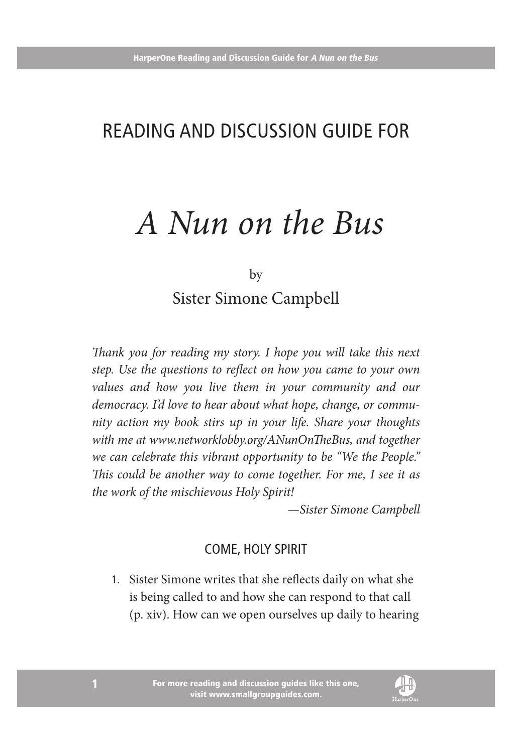## Reading and Discussion Guide for

# *A Nun on the Bus*

by

Sister Simone Campbell

*Thank you for reading my story. I hope you will take this next step. Use the questions to reflect on how you came to your own values and how you live them in your community and our democracy. I'd love to hear about what hope, change, or community action my book stirs up in your life. Share your thoughts with me at www.networklobby.org/ANunOnTheBus, and together we can celebrate this vibrant opportunity to be "We the People." This could be another way to come together. For me, I see it as the work of the mischievous Holy Spirit!*

*—Sister Simone Campbell*

#### Come, Holy Spirit

1. Sister Simone writes that she reflects daily on what she is being called to and how she can respond to that call (p. xiv). How can we open ourselves up daily to hearing

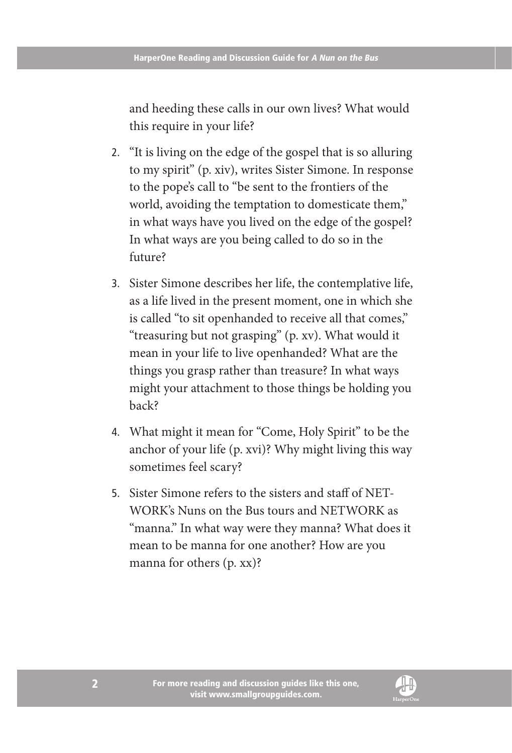and heeding these calls in our own lives? What would this require in your life?

- 2. "It is living on the edge of the gospel that is so alluring to my spirit" (p. xiv), writes Sister Simone. In response to the pope's call to "be sent to the frontiers of the world, avoiding the temptation to domesticate them," in what ways have you lived on the edge of the gospel? In what ways are you being called to do so in the future?
- 3. Sister Simone describes her life, the contemplative life, as a life lived in the present moment, one in which she is called "to sit openhanded to receive all that comes," "treasuring but not grasping" (p. xv). What would it mean in your life to live openhanded? What are the things you grasp rather than treasure? In what ways might your attachment to those things be holding you back?
- 4. What might it mean for "Come, Holy Spirit" to be the anchor of your life (p. xvi)? Why might living this way sometimes feel scary?
- 5. Sister Simone refers to the sisters and staff of NET-WORK's Nuns on the Bus tours and NETWORK as "manna." In what way were they manna? What does it mean to be manna for one another? How are you manna for others (p. xx)?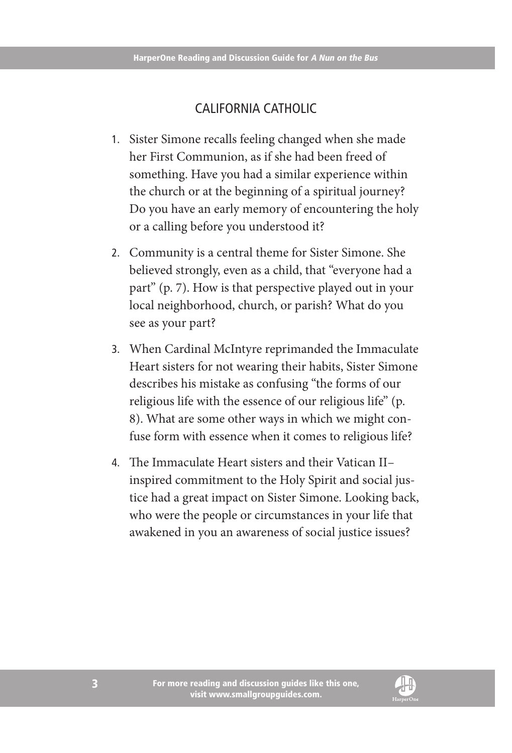### California Catholic

- 1. Sister Simone recalls feeling changed when she made her First Communion, as if she had been freed of something. Have you had a similar experience within the church or at the beginning of a spiritual journey? Do you have an early memory of encountering the holy or a calling before you understood it?
- 2. Community is a central theme for Sister Simone. She believed strongly, even as a child, that "everyone had a part" (p. 7). How is that perspective played out in your local neighborhood, church, or parish? What do you see as your part?
- 3. When Cardinal McIntyre reprimanded the Immaculate Heart sisters for not wearing their habits, Sister Simone describes his mistake as confusing "the forms of our religious life with the essence of our religious life" (p. 8). What are some other ways in which we might confuse form with essence when it comes to religious life?
- 4. The Immaculate Heart sisters and their Vatican II– inspired commitment to the Holy Spirit and social justice had a great impact on Sister Simone. Looking back, who were the people or circumstances in your life that awakened in you an awareness of social justice issues?

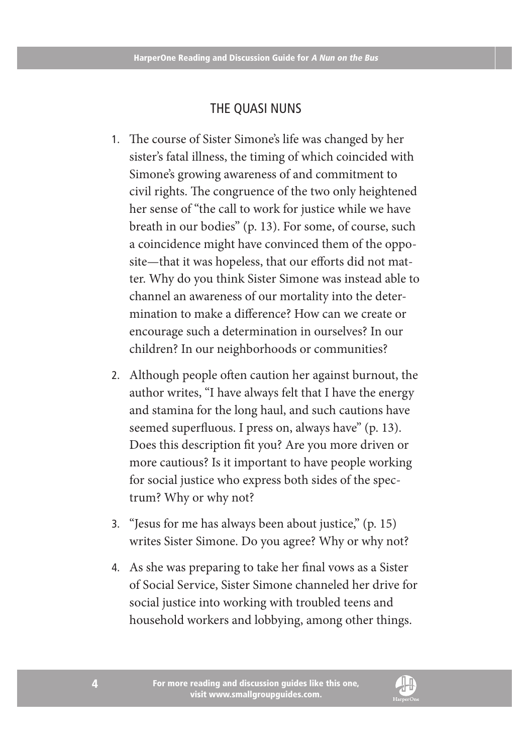#### The Quasi Nuns

- 1. The course of Sister Simone's life was changed by her sister's fatal illness, the timing of which coincided with Simone's growing awareness of and commitment to civil rights. The congruence of the two only heightened her sense of "the call to work for justice while we have breath in our bodies" (p. 13). For some, of course, such a coincidence might have convinced them of the opposite—that it was hopeless, that our efforts did not matter. Why do you think Sister Simone was instead able to channel an awareness of our mortality into the determination to make a difference? How can we create or encourage such a determination in ourselves? In our children? In our neighborhoods or communities?
- 2. Although people often caution her against burnout, the author writes, "I have always felt that I have the energy and stamina for the long haul, and such cautions have seemed superfluous. I press on, always have" (p. 13). Does this description fit you? Are you more driven or more cautious? Is it important to have people working for social justice who express both sides of the spectrum? Why or why not?
- 3. "Jesus for me has always been about justice," (p. 15) writes Sister Simone. Do you agree? Why or why not?
- 4. As she was preparing to take her final vows as a Sister of Social Service, Sister Simone channeled her drive for social justice into working with troubled teens and household workers and lobbying, among other things.

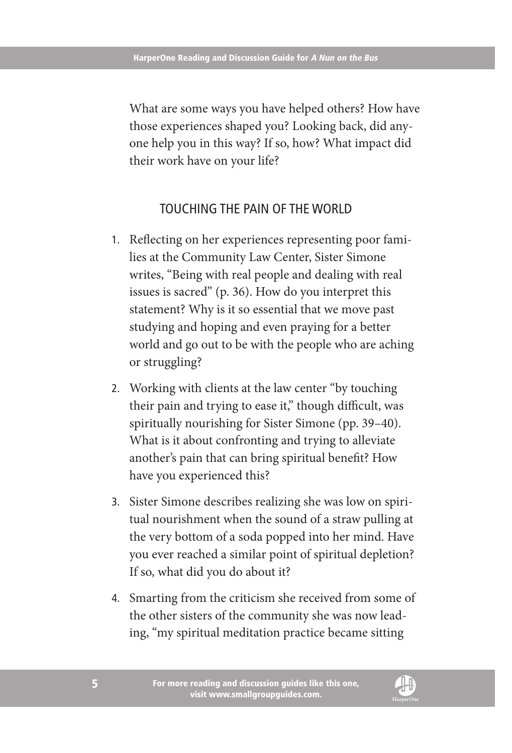What are some ways you have helped others? How have those experiences shaped you? Looking back, did anyone help you in this way? If so, how? What impact did their work have on your life?

#### Touching the Pain of the World

- 1. Reflecting on her experiences representing poor families at the Community Law Center, Sister Simone writes, "Being with real people and dealing with real issues is sacred" (p. 36). How do you interpret this statement? Why is it so essential that we move past studying and hoping and even praying for a better world and go out to be with the people who are aching or struggling?
- 2. Working with clients at the law center "by touching their pain and trying to ease it," though difficult, was spiritually nourishing for Sister Simone (pp. 39–40). What is it about confronting and trying to alleviate another's pain that can bring spiritual benefit? How have you experienced this?
- 3. Sister Simone describes realizing she was low on spiritual nourishment when the sound of a straw pulling at the very bottom of a soda popped into her mind. Have you ever reached a similar point of spiritual depletion? If so, what did you do about it?
- 4. Smarting from the criticism she received from some of the other sisters of the community she was now leading, "my spiritual meditation practice became sitting

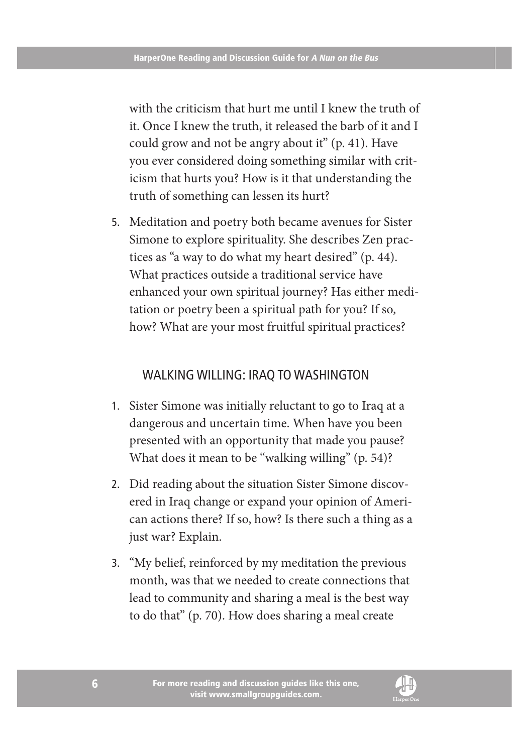with the criticism that hurt me until I knew the truth of it. Once I knew the truth, it released the barb of it and I could grow and not be angry about it" (p. 41). Have you ever considered doing something similar with criticism that hurts you? How is it that understanding the truth of something can lessen its hurt?

5. Meditation and poetry both became avenues for Sister Simone to explore spirituality. She describes Zen practices as "a way to do what my heart desired" (p. 44). What practices outside a traditional service have enhanced your own spiritual journey? Has either meditation or poetry been a spiritual path for you? If so, how? What are your most fruitful spiritual practices?

#### Walking Willing: Iraq to Washington

- 1. Sister Simone was initially reluctant to go to Iraq at a dangerous and uncertain time. When have you been presented with an opportunity that made you pause? What does it mean to be "walking willing" (p. 54)?
- 2. Did reading about the situation Sister Simone discovered in Iraq change or expand your opinion of American actions there? If so, how? Is there such a thing as a just war? Explain.
- 3. "My belief, reinforced by my meditation the previous month, was that we needed to create connections that lead to community and sharing a meal is the best way to do that" (p. 70). How does sharing a meal create

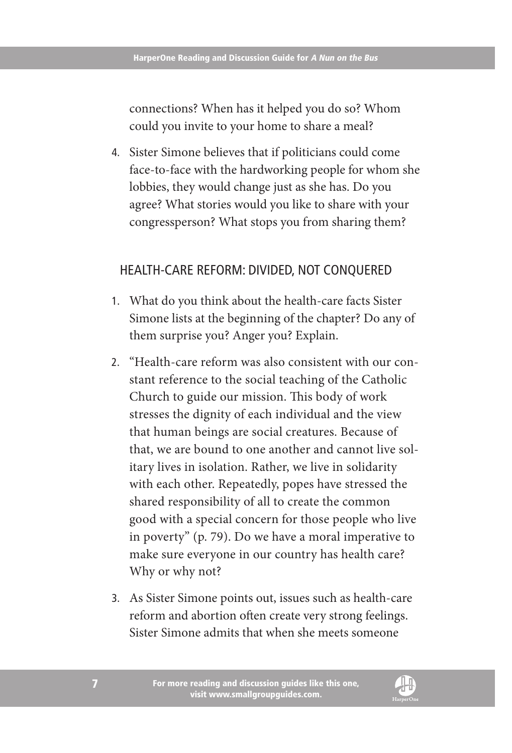connections? When has it helped you do so? Whom could you invite to your home to share a meal?

4. Sister Simone believes that if politicians could come face-to-face with the hardworking people for whom she lobbies, they would change just as she has. Do you agree? What stories would you like to share with your congressperson? What stops you from sharing them?

#### Health-Care Reform: Divided, Not Conquered

- 1. What do you think about the health-care facts Sister Simone lists at the beginning of the chapter? Do any of them surprise you? Anger you? Explain.
- 2. "Health-care reform was also consistent with our constant reference to the social teaching of the Catholic Church to guide our mission. This body of work stresses the dignity of each individual and the view that human beings are social creatures. Because of that, we are bound to one another and cannot live solitary lives in isolation. Rather, we live in solidarity with each other. Repeatedly, popes have stressed the shared responsibility of all to create the common good with a special concern for those people who live in poverty" (p. 79). Do we have a moral imperative to make sure everyone in our country has health care? Why or why not?
- 3. As Sister Simone points out, issues such as health-care reform and abortion often create very strong feelings. Sister Simone admits that when she meets someone

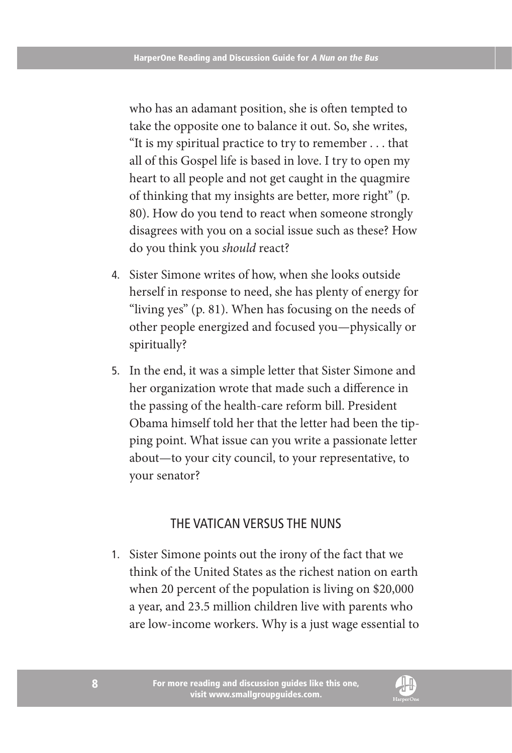who has an adamant position, she is often tempted to take the opposite one to balance it out. So, she writes, "It is my spiritual practice to try to remember . . . that all of this Gospel life is based in love. I try to open my heart to all people and not get caught in the quagmire of thinking that my insights are better, more right" (p. 80). How do you tend to react when someone strongly disagrees with you on a social issue such as these? How do you think you *should* react?

- 4. Sister Simone writes of how, when she looks outside herself in response to need, she has plenty of energy for "living yes" (p. 81). When has focusing on the needs of other people energized and focused you—physically or spiritually?
- 5. In the end, it was a simple letter that Sister Simone and her organization wrote that made such a difference in the passing of the health-care reform bill. President Obama himself told her that the letter had been the tipping point. What issue can you write a passionate letter about—to your city council, to your representative, to your senator?

#### The Vatican Versus the Nuns

1. Sister Simone points out the irony of the fact that we think of the United States as the richest nation on earth when 20 percent of the population is living on \$20,000 a year, and 23.5 million children live with parents who are low-income workers. Why is a just wage essential to

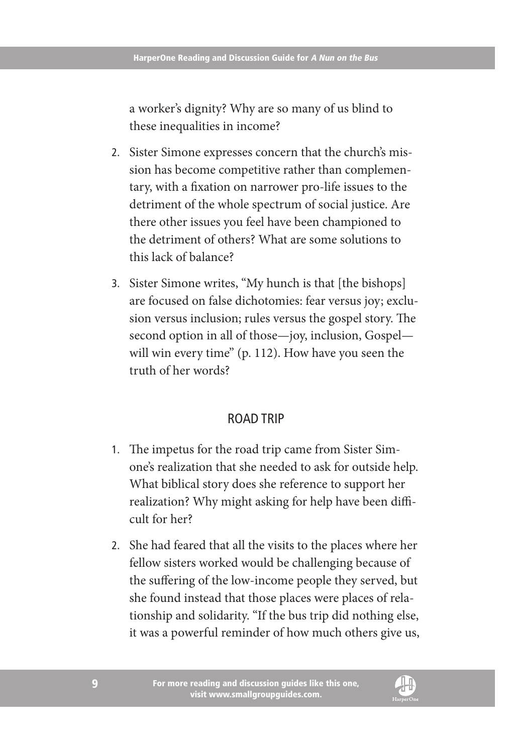a worker's dignity? Why are so many of us blind to these inequalities in income?

- 2. Sister Simone expresses concern that the church's mission has become competitive rather than complementary, with a fixation on narrower pro-life issues to the detriment of the whole spectrum of social justice. Are there other issues you feel have been championed to the detriment of others? What are some solutions to this lack of balance?
- 3. Sister Simone writes, "My hunch is that [the bishops] are focused on false dichotomies: fear versus joy; exclusion versus inclusion; rules versus the gospel story. The second option in all of those—joy, inclusion, Gospel will win every time" (p. 112). How have you seen the truth of her words?

#### Road Trip

- 1. The impetus for the road trip came from Sister Simone's realization that she needed to ask for outside help. What biblical story does she reference to support her realization? Why might asking for help have been difficult for her?
- 2. She had feared that all the visits to the places where her fellow sisters worked would be challenging because of the suffering of the low-income people they served, but she found instead that those places were places of relationship and solidarity. "If the bus trip did nothing else, it was a powerful reminder of how much others give us,

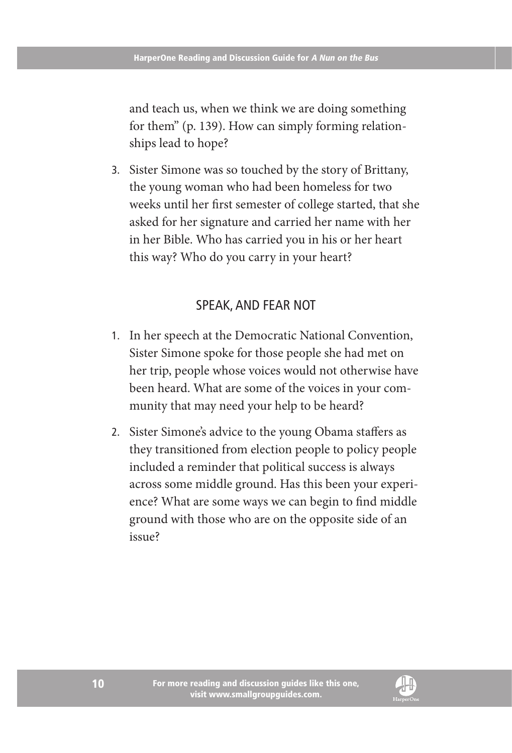and teach us, when we think we are doing something for them" (p. 139). How can simply forming relationships lead to hope?

3. Sister Simone was so touched by the story of Brittany, the young woman who had been homeless for two weeks until her first semester of college started, that she asked for her signature and carried her name with her in her Bible. Who has carried you in his or her heart this way? Who do you carry in your heart?

#### Speak, and Fear Not

- 1. In her speech at the Democratic National Convention, Sister Simone spoke for those people she had met on her trip, people whose voices would not otherwise have been heard. What are some of the voices in your community that may need your help to be heard?
- 2. Sister Simone's advice to the young Obama staffers as they transitioned from election people to policy people included a reminder that political success is always across some middle ground. Has this been your experience? What are some ways we can begin to find middle ground with those who are on the opposite side of an issue?

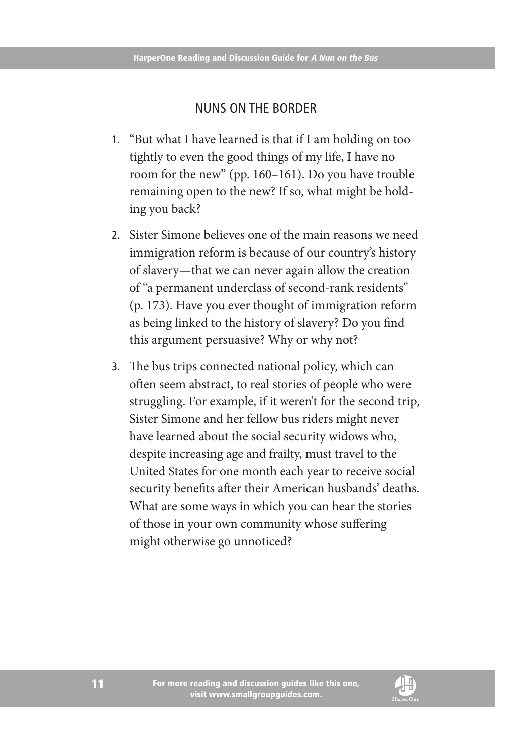#### Nuns on the Border

- 1. "But what I have learned is that if I am holding on too tightly to even the good things of my life, I have no room for the new" (pp. 160–161). Do you have trouble remaining open to the new? If so, what might be holding you back?
- 2. Sister Simone believes one of the main reasons we need immigration reform is because of our country's history of slavery—that we can never again allow the creation of "a permanent underclass of second-rank residents" (p. 173). Have you ever thought of immigration reform as being linked to the history of slavery? Do you find this argument persuasive? Why or why not?
- 3. The bus trips connected national policy, which can often seem abstract, to real stories of people who were struggling. For example, if it weren't for the second trip, Sister Simone and her fellow bus riders might never have learned about the social security widows who, despite increasing age and frailty, must travel to the United States for one month each year to receive social security benefits after their American husbands' deaths. What are some ways in which you can hear the stories of those in your own community whose suffering might otherwise go unnoticed?